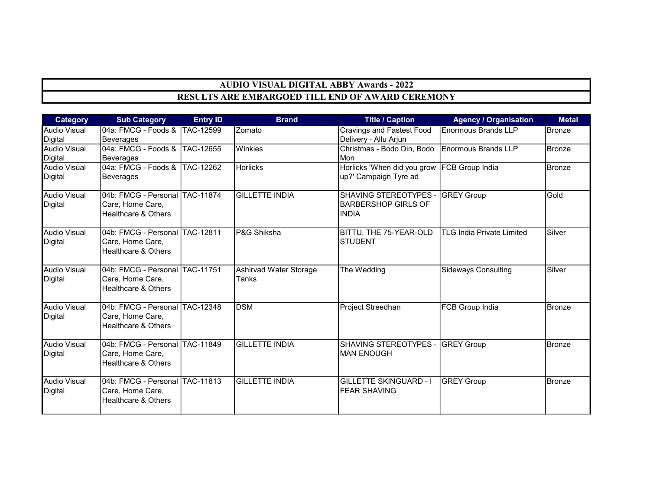| <b>Category</b>                | <b>Sub Category</b>                        | <b>Entry ID</b> | <b>Brand</b>           | <b>Title / Caption</b>            | <b>Agency / Organisation</b>     | <b>Metal</b>  |
|--------------------------------|--------------------------------------------|-----------------|------------------------|-----------------------------------|----------------------------------|---------------|
| <b>Audio Visual</b>            | 04a: FMCG - Foods & TAC-12599              |                 | Zomato                 | <b>Cravings and Fastest Food</b>  | <b>Enormous Brands LLP</b>       | Bronze        |
| Digital<br><b>Audio Visual</b> | Beverages                                  |                 | Winkies                | Delivery - Allu Arjun             | Enormous Brands LLP              | Bronze        |
| Digital                        | 04a: FMCG - Foods &  TAC-12655             |                 |                        | Christmas - Bodo Din, Bodo<br>Mon |                                  |               |
| <b>Audio Visual</b>            | Beverages<br>04a: FMCG - Foods & TAC-12262 |                 | Horlicks               | Horlicks 'When did you grow       | FCB Group India                  | <b>Bronze</b> |
| Digital                        | Beverages                                  |                 |                        | up?' Campaign Tyre ad             |                                  |               |
|                                |                                            |                 |                        |                                   |                                  |               |
| <b>Audio Visual</b>            | 04b: FMCG - Personal TAC-11874             |                 | <b>GILLETTE INDIA</b>  | SHAVING STEREOTYPES -             | <b>GREY Group</b>                | Gold          |
| Digital                        | Care, Home Care,                           |                 |                        | <b>BARBERSHOP GIRLS OF</b>        |                                  |               |
|                                | Healthcare & Others                        |                 |                        | <b>INDIA</b>                      |                                  |               |
| <b>Audio Visual</b>            | 04b: FMCG - Personal TAC-12811             |                 | P&G Shiksha            | BITTU, THE 75-YEAR-OLD            | <b>TLG India Private Limited</b> | Silver        |
| Digital                        | Care, Home Care,                           |                 |                        | <b>STUDENT</b>                    |                                  |               |
|                                | <b>Healthcare &amp; Others</b>             |                 |                        |                                   |                                  |               |
| Audio Visual                   | 04b: FMCG - Personal  TAC-11751            |                 | Ashirvad Water Storage | The Wedding                       | Sideways Consulting              | Silver        |
| Digital                        | Care, Home Care,                           |                 | Tanks                  |                                   |                                  |               |
|                                | <b>Healthcare &amp; Others</b>             |                 |                        |                                   |                                  |               |
| <b>Audio Visual</b>            | 04b: FMCG - Personal TAC-12348             |                 | <b>DSM</b>             | Project Streedhan                 | <b>FCB Group India</b>           | <b>Bronze</b> |
| Digital                        | Care, Home Care,                           |                 |                        |                                   |                                  |               |
|                                | <b>Healthcare &amp; Others</b>             |                 |                        |                                   |                                  |               |
| <b>Audio Visual</b>            | 04b: FMCG - Personal TAC-11849             |                 | <b>GILLETTE INDIA</b>  | SHAVING STEREOTYPES - GREY Group  |                                  | Bronze        |
| Digital                        | Care, Home Care,                           |                 |                        | <b>MAN ENOUGH</b>                 |                                  |               |
|                                | <b>Healthcare &amp; Others</b>             |                 |                        |                                   |                                  |               |
| <b>Audio Visual</b>            | 04b: FMCG - Personal TAC-11813             |                 | <b>GILLETTE INDIA</b>  | <b>GILLETTE SKINGUARD - I</b>     | <b>GREY Group</b>                | Bronze        |
| Digital                        | Care, Home Care,                           |                 |                        | <b>FEAR SHAVING</b>               |                                  |               |
|                                | <b>Healthcare &amp; Others</b>             |                 |                        |                                   |                                  |               |
|                                |                                            |                 |                        |                                   |                                  |               |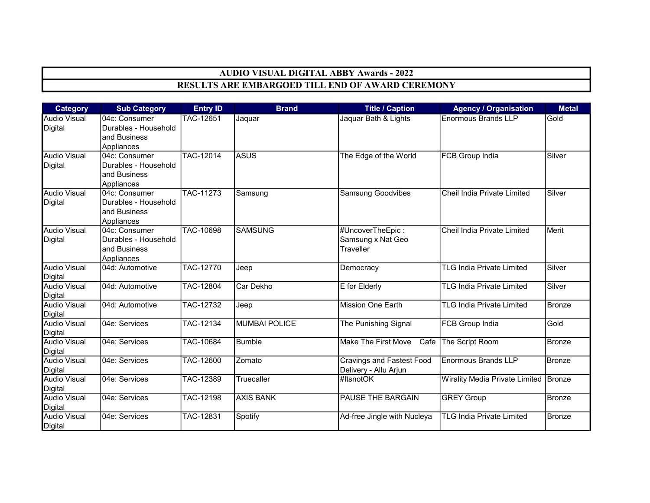| <b>Category</b>                       | <b>Sub Category</b>                                                  | <b>Entry ID</b>  | <b>Brand</b>     | <b>Title / Caption</b>                                    | <b>Agency / Organisation</b>          | <b>Metal</b>  |
|---------------------------------------|----------------------------------------------------------------------|------------------|------------------|-----------------------------------------------------------|---------------------------------------|---------------|
| <b>Audio Visual</b><br><b>Digital</b> | 04c: Consumer<br>Durables - Household<br>and Business<br>Appliances  | TAC-12651        | Jaquar           | Jaquar Bath & Lights                                      | <b>Enormous Brands LLP</b>            | Gold          |
| <b>Audio Visual</b><br><b>Digital</b> | 04c: Consumer<br>Durables - Household<br>and Business<br>Appliances  | <b>TAC-12014</b> | ASUS             | The Edge of the World                                     | <b>FCB Group India</b>                | Silver        |
| <b>Audio Visual</b><br><b>Digital</b> | 104c: Consumer<br>Durables - Household<br>and Business<br>Appliances | TAC-11273        | Samsung          | <b>Samsung Goodvibes</b>                                  | Cheil India Private Limited           | Silver        |
| <b>Audio Visual</b><br><b>Digital</b> | 04c: Consumer<br>Durables - Household<br>and Business<br>Appliances  | <b>TAC-10698</b> | <b>SAMSUNG</b>   | #UncoverTheEpic:<br>Samsung x Nat Geo<br>Traveller        | Cheil India Private Limited           | Merit         |
| <b>Audio Visual</b><br><b>Digital</b> | 04d: Automotive                                                      | <b>TAC-12770</b> | Jeep             | Democracy                                                 | <b>TLG India Private Limited</b>      | Silver        |
| <b>Audio Visual</b><br><b>Digital</b> | 04d: Automotive                                                      | TAC-12804        | Car Dekho        | E for Elderly                                             | <b>TLG India Private Limited</b>      | Silver        |
| <b>Audio Visual</b><br><b>Digital</b> | 04d: Automotive                                                      | <b>TAC-12732</b> | Jeep             | <b>Mission One Earth</b>                                  | <b>TLG India Private Limited</b>      | Bronze        |
| <b>Audio Visual</b><br><b>Digital</b> | 04e: Services                                                        | TAC-12134        | MUMBAI POLICE    | The Punishing Signal                                      | FCB Group India                       | Gold          |
| <b>Audio Visual</b><br>Digital        | 04e: Services                                                        | TAC-10684        | Bumble           | <b>Make The First Move</b><br>Cafe                        | The Script Room                       | <b>Bronze</b> |
| <b>Audio Visual</b><br><b>Digital</b> | 04e: Services                                                        | TAC-12600        | Zomato           | <b>Cravings and Fastest Food</b><br>Delivery - Allu Arjun | <b>Enormous Brands LLP</b>            | <b>Bronze</b> |
| <b>Audio Visual</b><br>Digital        | 04e: Services                                                        | TAC-12389        | Truecaller       | #ItsnotOK                                                 | <b>Wirality Media Private Limited</b> | Bronze        |
| <b>Audio Visual</b><br><b>Digital</b> | 04e: Services                                                        | TAC-12198        | <b>AXIS BANK</b> | PAUSE THE BARGAIN                                         | <b>GREY Group</b>                     | Bronze        |
| <b>Audio Visual</b><br><b>Digital</b> | 04e: Services                                                        | TAC-12831        | Spotify          | Ad-free Jingle with Nucleya                               | <b>TLG India Private Limited</b>      | <b>Bronze</b> |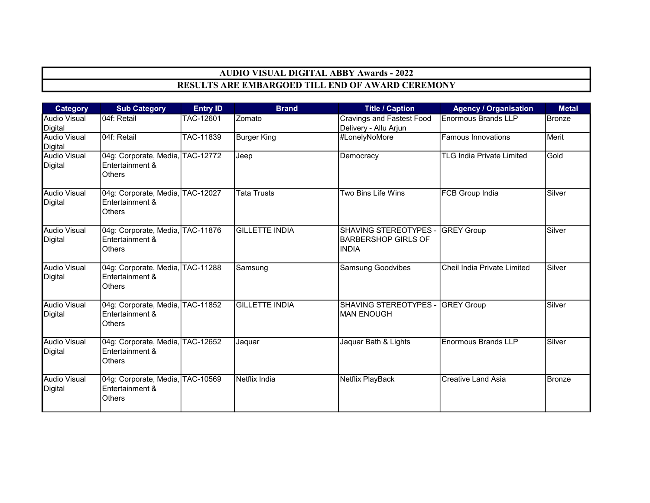| <b>Category</b>                       | <b>Sub Category</b>                                                  | <b>Entry ID</b> | <b>Brand</b>          | <b>Title / Caption</b>                                                         | <b>Agency / Organisation</b>     | <b>Metal</b>  |
|---------------------------------------|----------------------------------------------------------------------|-----------------|-----------------------|--------------------------------------------------------------------------------|----------------------------------|---------------|
| <b>Audio Visual</b><br>Digital        | 04f: Retail                                                          | TAC-12601       | Zomato                | Cravings and Fastest Food<br>Delivery - Allu Arjun                             | Enormous Brands LLP              | Bronze        |
| <b>Audio Visual</b><br><b>Digital</b> | 04f: Retail                                                          | TAC-11839       | <b>Burger King</b>    | #LonelyNoMore                                                                  | <b>Famous Innovations</b>        | Merit         |
| <b>Audio Visual</b><br><b>Digital</b> | 04g: Corporate, Media, TAC-12772<br>Entertainment &<br><b>Others</b> |                 | Jeep                  | Democracy                                                                      | <b>TLG India Private Limited</b> | Gold          |
| <b>Audio Visual</b><br>Digital        | 04g: Corporate, Media, TAC-12027<br>Entertainment &<br><b>Others</b> |                 | <b>Tata Trusts</b>    | Two Bins Life Wins                                                             | FCB Group India                  | Silver        |
| <b>Audio Visual</b><br><b>Digital</b> | 04g: Corporate, Media, TAC-11876<br>Entertainment &<br><b>Others</b> |                 | <b>GILLETTE INDIA</b> | SHAVING STEREOTYPES - GREY Group<br><b>BARBERSHOP GIRLS OF</b><br><b>INDIA</b> |                                  | Silver        |
| <b>Audio Visual</b><br>Digital        | 04g: Corporate, Media, TAC-11288<br>Entertainment &<br><b>Others</b> |                 | Samsung               | <b>Samsung Goodvibes</b>                                                       | Cheil India Private Limited      | Silver        |
| <b>Audio Visual</b><br>Digital        | 04g: Corporate, Media, TAC-11852<br>Entertainment &<br><b>Others</b> |                 | <b>GILLETTE INDIA</b> | SHAVING STEREOTYPES - GREY Group<br><b>IMAN ENOUGH</b>                         |                                  | Silver        |
| <b>Audio Visual</b><br><b>Digital</b> | 04g: Corporate, Media, TAC-12652<br>Entertainment &<br>Others        |                 | Jaquar                | Jaquar Bath & Lights                                                           | <b>Enormous Brands LLP</b>       | Silver        |
| <b>Audio Visual</b><br>Digital        | 04g: Corporate, Media, TAC-10569<br>Entertainment &<br>Others        |                 | Netflix India         | Netflix PlayBack                                                               | <b>Creative Land Asia</b>        | <b>Bronze</b> |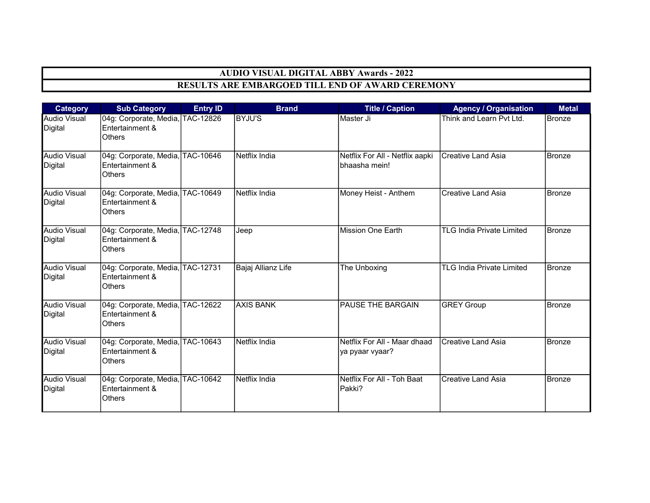| <b>Category</b>                       | <b>Sub Category</b>                                                  | <b>Entry ID</b> | <b>Brand</b>       | <b>Title / Caption</b>                           | <b>Agency / Organisation</b>     | <b>Metal</b>  |
|---------------------------------------|----------------------------------------------------------------------|-----------------|--------------------|--------------------------------------------------|----------------------------------|---------------|
| <b>Audio Visual</b><br>Digital        | 04g: Corporate, Media, TAC-12826<br>Entertainment &<br><b>Others</b> |                 | <b>BYJU'S</b>      | Master Ji                                        | Think and Learn Pyt Ltd.         | Bronze        |
| <b>Audio Visual</b><br>Digital        | 04g: Corporate, Media, TAC-10646<br>Entertainment &<br><b>Others</b> |                 | Netflix India      | Netflix For All - Netflix aapki<br>bhaasha mein! | Creative Land Asia               | <b>Bronze</b> |
| <b>Audio Visual</b><br>Digital        | 04g: Corporate, Media, TAC-10649<br>Entertainment &<br><b>Others</b> |                 | Netflix India      | Money Heist - Anthem                             | <b>Creative Land Asia</b>        | <b>Bronze</b> |
| <b>Audio Visual</b><br><b>Digital</b> | 04g: Corporate, Media, TAC-12748<br>Entertainment &<br><b>Others</b> |                 | Jeep               | <b>Mission One Earth</b>                         | <b>TLG India Private Limited</b> | <b>Bronze</b> |
| <b>Audio Visual</b><br><b>Digital</b> | 04g: Corporate, Media, TAC-12731<br>Entertainment &<br><b>Others</b> |                 | Bajaj Allianz Life | The Unboxing                                     | <b>TLG India Private Limited</b> | Bronze        |
| <b>Audio Visual</b><br>Digital        | 04g: Corporate, Media, TAC-12622<br>Entertainment &<br><b>Others</b> |                 | <b>AXIS BANK</b>   | PAUSE THE BARGAIN                                | <b>GREY Group</b>                | Bronze        |
| <b>Audio Visual</b><br>Digital        | 04g: Corporate, Media, TAC-10643<br>Entertainment &<br><b>Others</b> |                 | Netflix India      | Netflix For All - Maar dhaad<br>ya pyaar vyaar?  | Creative Land Asia               | <b>Bronze</b> |
| <b>Audio Visual</b><br>Digital        | 04g: Corporate, Media, TAC-10642<br>Entertainment &<br>Others        |                 | Netflix India      | Netflix For All - Toh Baat<br>Pakki?             | <b>ICreative Land Asia</b>       | Bronze        |